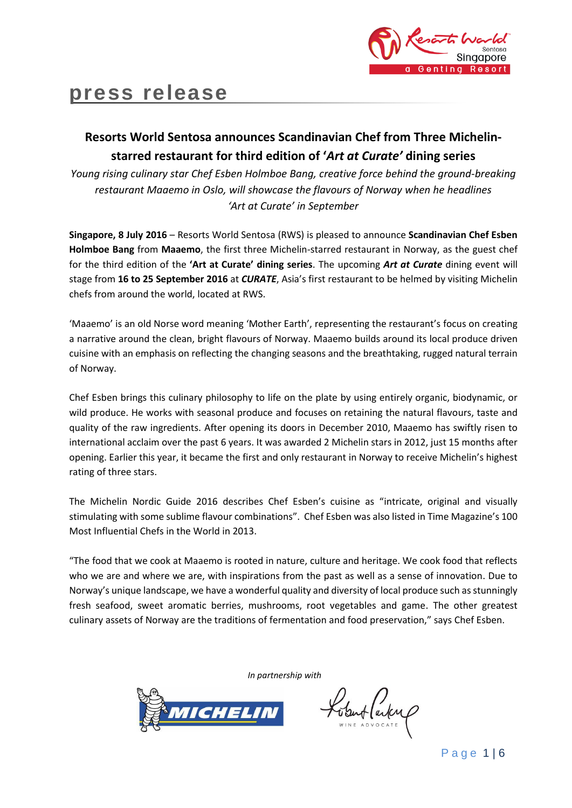

# **press release**

## **Resorts World Sentosa announces Scandinavian Chef from Three Michelinstarred restaurant for third edition of '***Art at Curate'* **dining series**

*Young rising culinary star Chef Esben Holmboe Bang, creative force behind the ground-breaking restaurant Maaemo in Oslo, will showcase the flavours of Norway when he headlines 'Art at Curate' in September*

**Singapore, 8 July 2016** – Resorts World Sentosa (RWS) is pleased to announce **Scandinavian Chef Esben Holmboe Bang** from **Maaemo**, the first three Michelin-starred restaurant in Norway, as the guest chef for the third edition of the **'Art at Curate' dining series**. The upcoming *Art at Curate* dining event will stage from **16 to 25 September 2016** at *CURATE*, Asia's first restaurant to be helmed by visiting Michelin chefs from around the world, located at RWS.

'Maaemo' is an old Norse word meaning 'Mother Earth', representing the restaurant's focus on creating a narrative around the clean, bright flavours of Norway. Maaemo builds around its local produce driven cuisine with an emphasis on reflecting the changing seasons and the breathtaking, rugged natural terrain of Norway.

Chef Esben brings this culinary philosophy to life on the plate by using entirely organic, biodynamic, or wild produce. He works with seasonal produce and focuses on retaining the natural flavours, taste and quality of the raw ingredients. After opening its doors in December 2010, Maaemo has swiftly risen to international acclaim over the past 6 years. It was awarded 2 Michelin stars in 2012, just 15 months after opening. Earlier this year, it became the first and only restaurant in Norway to receive Michelin's highest rating of three stars.

The Michelin Nordic Guide 2016 describes Chef Esben's cuisine as "intricate, original and visually stimulating with some sublime flavour combinations". Chef Esben was also listed in Time Magazine's 100 Most Influential Chefs in the World in 2013.

"The food that we cook at Maaemo is rooted in nature, culture and heritage. We cook food that reflects who we are and where we are, with inspirations from the past as well as a sense of innovation. Due to Norway's unique landscape, we have a wonderful quality and diversity of local produce such as stunningly fresh seafood, sweet aromatic berries, mushrooms, root vegetables and game. The other greatest culinary assets of Norway are the traditions of fermentation and food preservation," says Chef Esben.

*In partnership with*



Lobut laden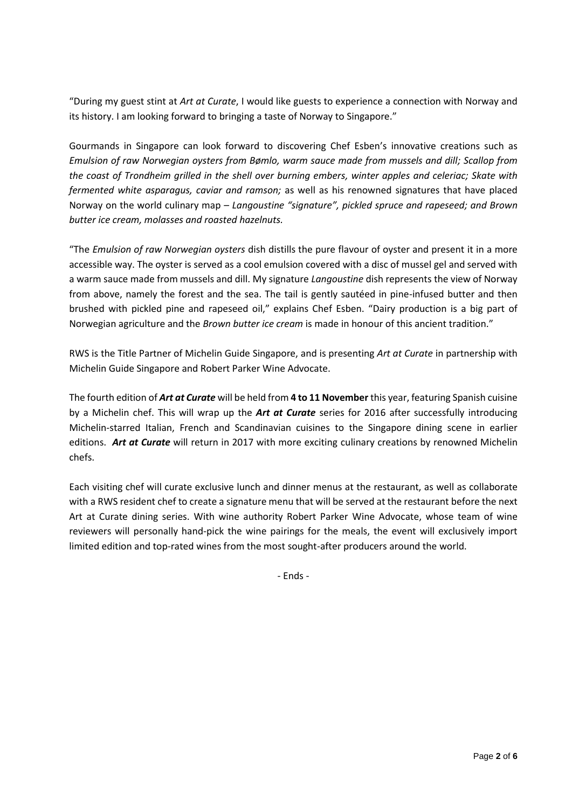"During my guest stint at *Art at Curate*, I would like guests to experience a connection with Norway and its history. I am looking forward to bringing a taste of Norway to Singapore."

Gourmands in Singapore can look forward to discovering Chef Esben's innovative creations such as *Emulsion of raw Norwegian oysters from Bømlo, warm sauce made from mussels and dill; Scallop from the coast of Trondheim grilled in the shell over burning embers, winter apples and celeriac; Skate with fermented white asparagus, caviar and ramson;* as well as his renowned signatures that have placed Norway on the world culinary map – *Langoustine "signature", pickled spruce and rapeseed; and Brown butter ice cream, molasses and roasted hazelnuts.* 

"The *Emulsion of raw Norwegian oysters* dish distills the pure flavour of oyster and present it in a more accessible way. The oyster is served as a cool emulsion covered with a disc of mussel gel and served with a warm sauce made from mussels and dill. My signature *Langoustine* dish represents the view of Norway from above, namely the forest and the sea. The tail is gently sautéed in pine-infused butter and then brushed with pickled pine and rapeseed oil," explains Chef Esben. "Dairy production is a big part of Norwegian agriculture and the *Brown butter ice cream* is made in honour of this ancient tradition."

RWS is the Title Partner of Michelin Guide Singapore, and is presenting *Art at Curate* in partnership with Michelin Guide Singapore and Robert Parker Wine Advocate.

The fourth edition of *Art at Curate* will be held from **4 to 11 November** this year, featuring Spanish cuisine by a Michelin chef. This will wrap up the *Art at Curate* series for 2016 after successfully introducing Michelin-starred Italian, French and Scandinavian cuisines to the Singapore dining scene in earlier editions. *Art at Curate* will return in 2017 with more exciting culinary creations by renowned Michelin chefs.

Each visiting chef will curate exclusive lunch and dinner menus at the restaurant, as well as collaborate with a RWS resident chef to create a signature menu that will be served at the restaurant before the next Art at Curate dining series. With wine authority Robert Parker Wine Advocate, whose team of wine reviewers will personally hand-pick the wine pairings for the meals, the event will exclusively import limited edition and top-rated wines from the most sought-after producers around the world.

- Ends -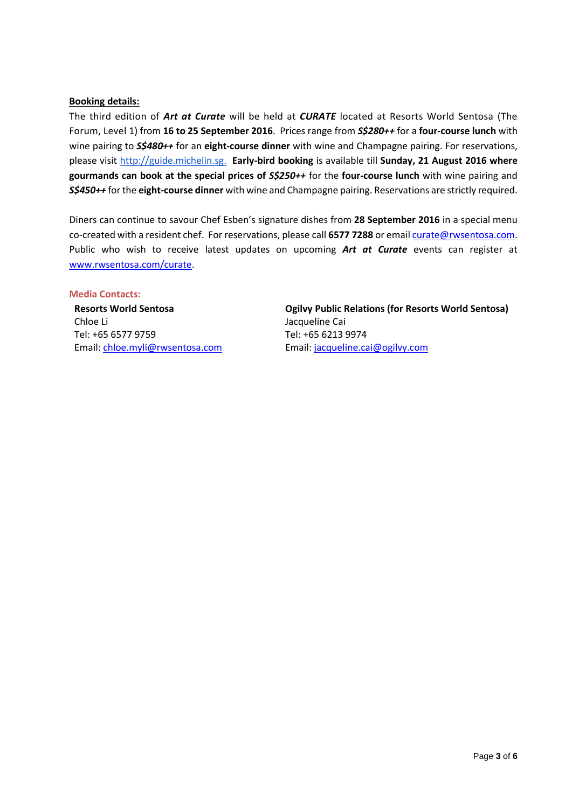#### **Booking details:**

The third edition of *Art at Curate* will be held at *CURATE* located at Resorts World Sentosa (The Forum, Level 1) from **16 to 25 September 2016**. Prices range from *S\$280++* for a **four-course lunch** with wine pairing to *S\$480++* for an **eight-course dinner** with wine and Champagne pairing. For reservations, please visit [http://guide.michelin.sg.](http://guide.michelin.sg/) **Early-bird booking** is available till **Sunday, 21 August 2016 where gourmands can book at the special prices of** *S\$250++* for the **four-course lunch** with wine pairing and *S\$450++* for the **eight-course dinner** with wine and Champagne pairing. Reservations are strictly required.

Diners can continue to savour Chef Esben's signature dishes from **28 September 2016** in a special menu co-created with a resident chef. For reservations, please call **6577 7288** or emai[l curate@rwsentosa.com.](mailto:curate@rwsentosa.com) Public who wish to receive latest updates on upcoming *Art at Curate* events can register at [www.rwsentosa.com/curate.](http://www.rwsentosa.com/curate)

#### **Media Contacts:**

**Resorts World Sentosa** Chloe Li Tel: +65 6577 9759 Email: [chloe.myli@rwsentosa.com](mailto:chloe.myli@rwsentosa.com)

**Ogilvy Public Relations (for Resorts World Sentosa)**  Jacqueline Cai Tel: +65 6213 9974 Email: [jacqueline.cai@ogilvy.com](mailto:jacqueline.cai@ogilvy.com)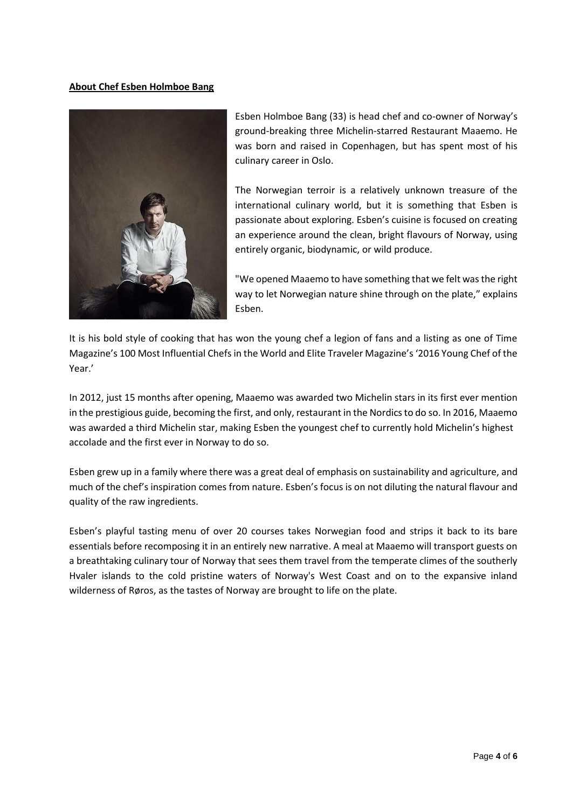### **About Chef Esben Holmboe Bang**



Esben Holmboe Bang (33) is head chef and co-owner of Norway's ground-breaking three Michelin-starred Restaurant Maaemo. He was born and raised in Copenhagen, but has spent most of his culinary career in Oslo.

The Norwegian terroir is a relatively unknown treasure of the international culinary world, but it is something that Esben is passionate about exploring. Esben's cuisine is focused on creating an experience around the clean, bright flavours of Norway, using entirely organic, biodynamic, or wild produce.

"We opened Maaemo to have something that we felt was the right way to let Norwegian nature shine through on the plate," explains Esben.

It is his bold style of cooking that has won the young chef a legion of fans and a listing as one of Time Magazine's 100 Most Influential Chefs in the World and Elite Traveler Magazine's '2016 Young Chef of the Year.'

In 2012, just 15 months after opening, Maaemo was awarded two Michelin stars in its first ever mention in the prestigious guide, becoming the first, and only, restaurant in the Nordics to do so. In 2016, Maaemo was awarded a third Michelin star, making Esben the youngest chef to currently hold Michelin's highest accolade and the first ever in Norway to do so.

Esben grew up in a family where there was a great deal of emphasis on sustainability and agriculture, and much of the chef's inspiration comes from nature. Esben's focus is on not diluting the natural flavour and quality of the raw ingredients.

Esben's playful tasting menu of over 20 courses takes Norwegian food and strips it back to its bare essentials before recomposing it in an entirely new narrative. A meal at Maaemo will transport guests on a breathtaking culinary tour of Norway that sees them travel from the temperate climes of the southerly Hvaler islands to the cold pristine waters of Norway's West Coast and on to the expansive inland wilderness of Røros, as the tastes of Norway are brought to life on the plate.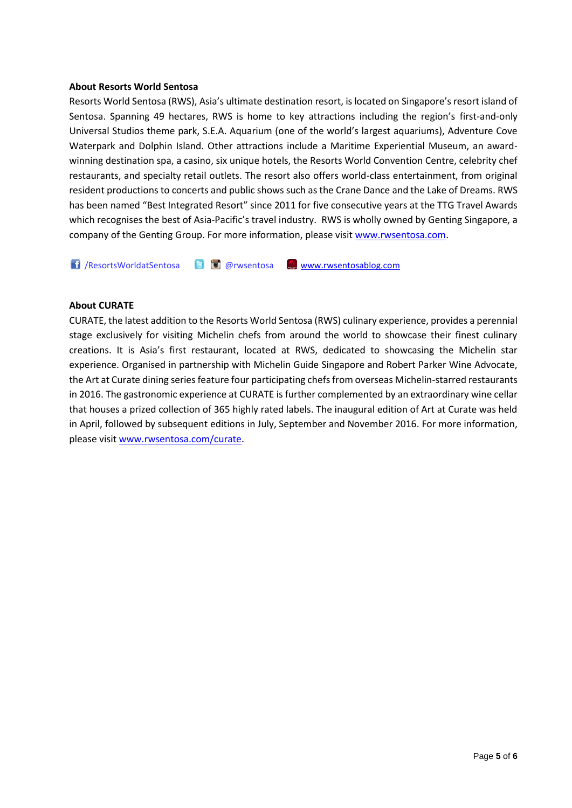#### **About Resorts World Sentosa**

Resorts World Sentosa (RWS), Asia's ultimate destination resort, is located on Singapore's resort island of Sentosa. Spanning 49 hectares, RWS is home to key attractions including the region's first-and-only Universal Studios theme park, S.E.A. Aquarium (one of the world's largest aquariums), Adventure Cove Waterpark and Dolphin Island. Other attractions include a Maritime Experiential Museum, an awardwinning destination spa, a casino, six unique hotels, the Resorts World Convention Centre, celebrity chef restaurants, and specialty retail outlets. The resort also offers world-class entertainment, from original resident productions to concerts and public shows such as the Crane Dance and the Lake of Dreams. RWS has been named "Best Integrated Resort" since 2011 for five consecutive years at the TTG Travel Awards which recognises the best of Asia-Pacific's travel industry. RWS is wholly owned by Genting Singapore, a company of the Genting Group. For more information, please visi[t www.rwsentosa.com.](http://www.rwsentosa.com/)

1 /ResortsWorldatSentosa **@** @rwsentosa [www.rwsentosablog.com](http://www.rwsentosablog.com/)

#### **About CURATE**

CURATE, the latest addition to the Resorts World Sentosa (RWS) culinary experience, provides a perennial stage exclusively for visiting Michelin chefs from around the world to showcase their finest culinary creations. It is Asia's first restaurant, located at RWS, dedicated to showcasing the Michelin star experience. Organised in partnership with Michelin Guide Singapore and Robert Parker Wine Advocate, the Art at Curate dining series feature four participating chefs from overseas Michelin-starred restaurants in 2016. The gastronomic experience at CURATE is further complemented by an extraordinary wine cellar that houses a prized collection of 365 highly rated labels. The inaugural edition of Art at Curate was held in April, followed by subsequent editions in July, September and November 2016. For more information, please visit [www.rwsentosa.com/curate.](http://www.rwsentosa.com/curate)